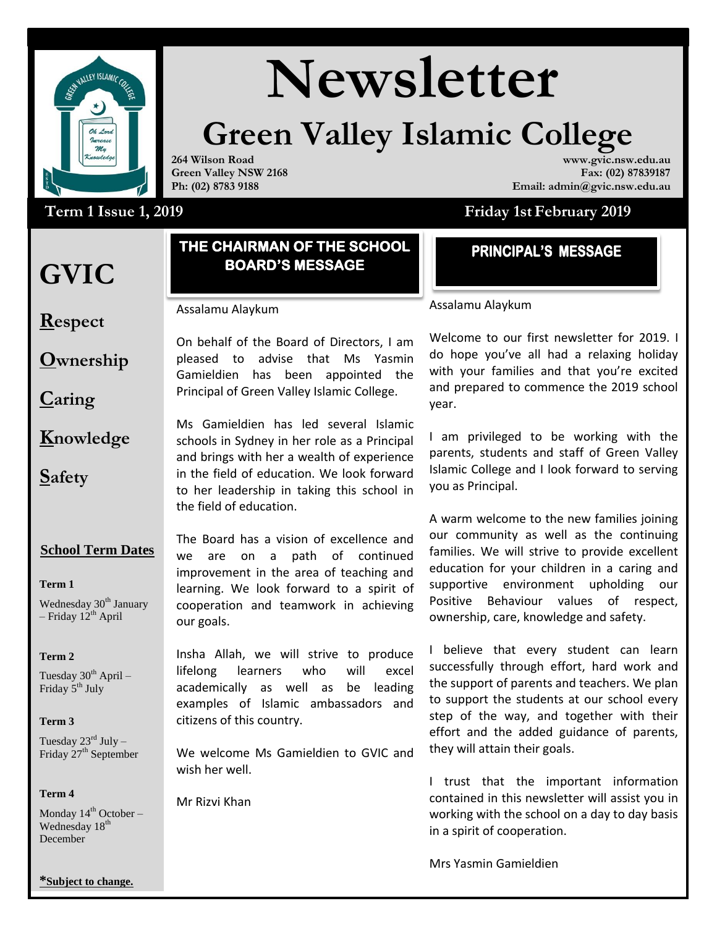

# Wewsletter

### **Green Valley Islamic College**

**264 Wilson Road Green Valley NSW 2168 Ph: (02) 8783 9188**

#### **www.gvic.nsw.edu.au Fax: (02) 87839187 Email: admin@gvic.nsw.edu.au**

### Term 1 Issue 1, 2019

#### **THE CHAIRMAN OF THE SCHOOL BOARD'S MESSAGE**

**Respect**

**GVIC** 

**Ownership**

**Caring**

**Knowledge**

**Safety**

#### **School Term Dates**

**Term 1** 

Wednesday 30<sup>th</sup> January – Friday  $12^{th}$  April

**Term 2** 

Tuesday  $30^{th}$  April – Friday 5<sup>th</sup> July

#### **Term 3**

Tuesday  $23^{\text{rd}}$  July – Friday 27<sup>th</sup> September

#### **Term 4**

Monday  $14<sup>th</sup>$  October – Wednesday 18<sup>th</sup> December

The Board has a vision of excellence and we are on a path of continued improvement in the area of teaching and learning. We look forward to a spirit of cooperation and teamwork in achieving our goals.

Insha Allah, we will strive to produce lifelong learners who will excel academically as well as be leading examples of Islamic ambassadors and citizens of this country.

We welcome Ms Gamieldien to GVIC and they v wish her well.

Mr Rizvi Khan

Assalamu Alaykum

Welcome to our first newsletter for 2019. I do hope you've all had a relaxing holiday with your families and that you're excited and prepared to commence the 2019 school year.

**Friday 1st February 2019** 

I am privileged to be working with the parents, students and staff of Green Valley Islamic College and I look forward to serving you as Principal.

A warm welcome to the new families joining our community as well as the continuing families. We will strive to provide excellent education for your children in a caring and supportive environment upholding our Positive Behaviour values of respect, ownership, care, knowledge and safety. **EXECTE 18 MESSAGE**<br> **EXECUTE:** Assalamu Alaykum<br>
Welcome to our first newsletter from<br>
Welcome to our first newsletter from<br>
with your families and that you'r<br>
and prepared to commence the 20<br>
year.<br>
1 am privileged to be

I believe that every student can learn successfully through effort, hard work and the support of parents and teachers. We plan to support the students at our school every step of the way, and together with their effort and the added guidance of parents, they will attain their goals.

I trust that the important information contained in this newsletter will assist you in working with the school on a day to day basis in a spirit of cooperation.

**\*Subject to change.**

## Assalamu Alaykum

On behalf of the Board of Directors, I am pleased to advise that Ms Yasmin Gamieldien has been appointed the Principal of Green Valley Islamic College.

Ms Gamieldien has led several Islamic schools in Sydney in her role as a Principal and brings with her a wealth of experience in the field of education. We look forward to her leadership in taking this school in

the field of education.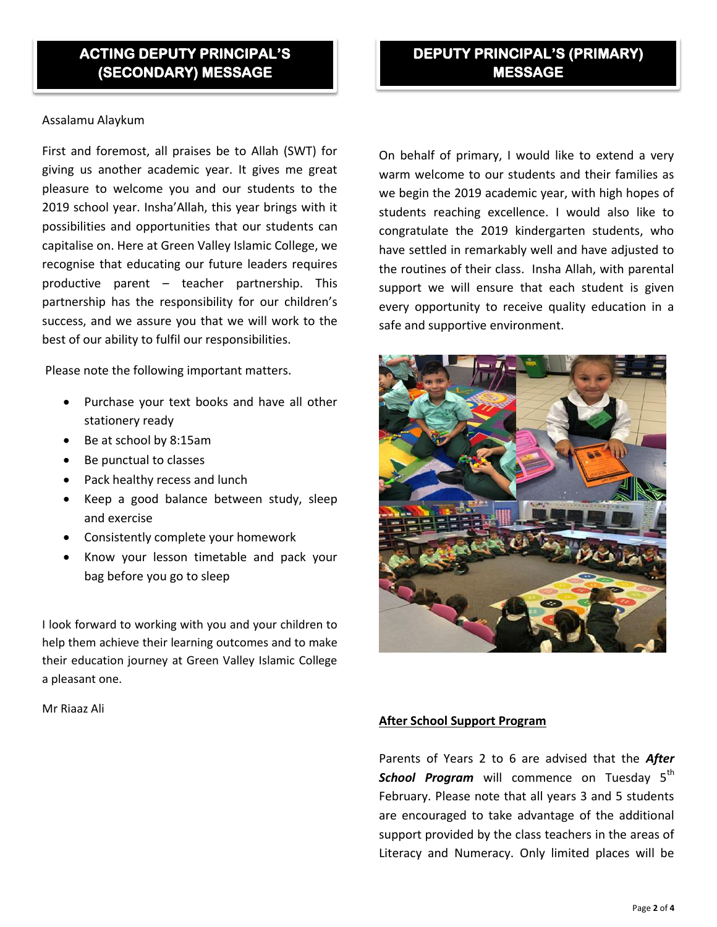#### Assalamu Alaykum

First and foremost, all praises be to Allah (SWT) for giving us another academic year. It gives me great pleasure to welcome you and our students to the 2019 school year. Insha'Allah, this year brings with it possibilities and opportunities that our students can capitalise on. Here at Green Valley Islamic College, we recognise that educating our future leaders requires productive parent – teacher partnership. This partnership has the responsibility for our children's success, and we assure you that we will work to the best of our ability to fulfil our responsibilities.

Please note the following important matters.

- Purchase your text books and have all other stationery ready
- Be at school by 8:15am
- Be punctual to classes
- Pack healthy recess and lunch
- Keep a good balance between study, sleep and exercise
- Consistently complete your homework
- Know your lesson timetable and pack your bag before you go to sleep

I look forward to working with you and your children to help them achieve their learning outcomes and to make their education journey at Green Valley Islamic College a pleasant one.

Mr Riaaz Ali

On behalf of primary, I would like to extend a very warm welcome to our students and their families as we begin the 2019 academic year, with high hopes of students reaching excellence. I would also like to congratulate the 2019 kindergarten students, who have settled in remarkably well and have adjusted to the routines of their class. Insha Allah, with parental support we will ensure that each student is given every opportunity to receive quality education in a safe and supportive environment.



#### **After School Support Program**

Parents of Years 2 to 6 are advised that the *After*  **School Program** will commence on Tuesday 5<sup>th</sup> February. Please note that all years 3 and 5 students are encouraged to take advantage of the additional support provided by the class teachers in the areas of Literacy and Numeracy. Only limited places will be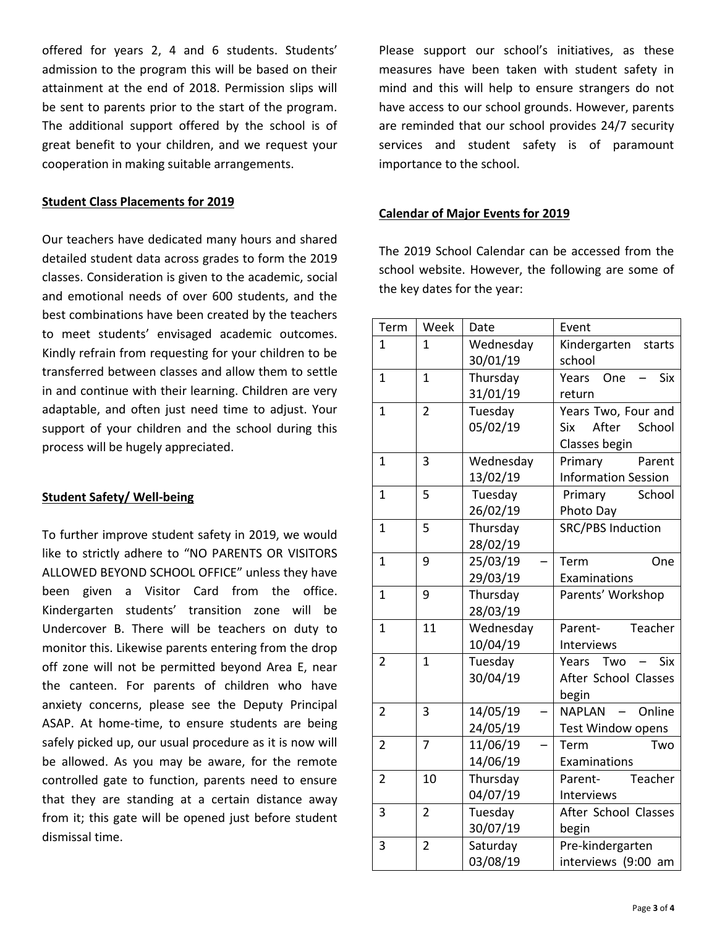offered for years 2, 4 and 6 students. Students' admission to the program this will be based on their attainment at the end of 2018. Permission slips will be sent to parents prior to the start of the program. The additional support offered by the school is of great benefit to your children, and we request your cooperation in making suitable arrangements.

#### **Student Class Placements for 2019**

Our teachers have dedicated many hours and shared detailed student data across grades to form the 2019 classes. Consideration is given to the academic, social and emotional needs of over 600 students, and the best combinations have been created by the teachers to meet students' envisaged academic outcomes. Kindly refrain from requesting for your children to be transferred between classes and allow them to settle in and continue with their learning. Children are very adaptable, and often just need time to adjust. Your support of your children and the school during this process will be hugely appreciated.

#### **Student Safety/ Well-being**

To further improve student safety in 2019, we would like to strictly adhere to "NO PARENTS OR VISITORS ALLOWED BEYOND SCHOOL OFFICE" unless they have been given a Visitor Card from the office. Kindergarten students' transition zone will be Undercover B. There will be teachers on duty to monitor this. Likewise parents entering from the drop off zone will not be permitted beyond Area E, near the canteen. For parents of children who have anxiety concerns, please see the Deputy Principal ASAP. At home-time, to ensure students are being safely picked up, our usual procedure as it is now will be allowed. As you may be aware, for the remote controlled gate to function, parents need to ensure that they are standing at a certain distance away from it; this gate will be opened just before student dismissal time.

Please support our school's initiatives, as these measures have been taken with student safety in mind and this will help to ensure strangers do not have access to our school grounds. However, parents are reminded that our school provides 24/7 security services and student safety is of paramount importance to the school.

#### **Calendar of Major Events for 2019**

The 2019 School Calendar can be accessed from the school website. However, the following are some of the key dates for the year:

| Term           | Week           | Date      | Event                      |
|----------------|----------------|-----------|----------------------------|
| $\mathbf{1}$   | 1              | Wednesday | Kindergarten starts        |
|                |                | 30/01/19  | school                     |
| $\mathbf{1}$   | $\mathbf{1}$   | Thursday  | <b>Six</b><br>Years One    |
|                |                | 31/01/19  | return                     |
| $\mathbf{1}$   | $\overline{2}$ | Tuesday   | Years Two, Four and        |
|                |                | 05/02/19  | After School<br><b>Six</b> |
|                |                |           | Classes begin              |
| $\mathbf{1}$   | 3              | Wednesday | Primary<br>Parent          |
|                |                | 13/02/19  | <b>Information Session</b> |
| $\mathbf{1}$   | 5              | Tuesday   | School<br>Primary          |
|                |                | 26/02/19  | Photo Day                  |
| $\mathbf{1}$   | 5              | Thursday  | <b>SRC/PBS Induction</b>   |
|                |                | 28/02/19  |                            |
| 1              | 9              | 25/03/19  | Term<br>One                |
|                |                | 29/03/19  | Examinations               |
| $\mathbf{1}$   | 9              | Thursday  | Parents' Workshop          |
|                |                | 28/03/19  |                            |
| $\mathbf{1}$   | 11             | Wednesday | Teacher<br>Parent-         |
|                |                | 10/04/19  | Interviews                 |
| $\overline{2}$ | $\mathbf{1}$   | Tuesday   | Two<br><b>Six</b><br>Years |
|                |                | 30/04/19  | After School Classes       |
|                |                |           | begin                      |
| $\overline{2}$ | 3              | 14/05/19  | - Online<br><b>NAPLAN</b>  |
|                |                | 24/05/19  | Test Window opens          |
| $\overline{2}$ | $\overline{7}$ | 11/06/19  | Two<br>Term                |
|                |                | 14/06/19  | Examinations               |
| $\overline{2}$ | 10             | Thursday  | Parent-<br>Teacher         |
|                |                | 04/07/19  | Interviews                 |
| $\overline{3}$ | $\overline{2}$ | Tuesday   | After School Classes       |
|                |                | 30/07/19  | begin                      |
| 3              | $\overline{2}$ | Saturday  | Pre-kindergarten           |
|                |                | 03/08/19  | interviews (9:00 am        |